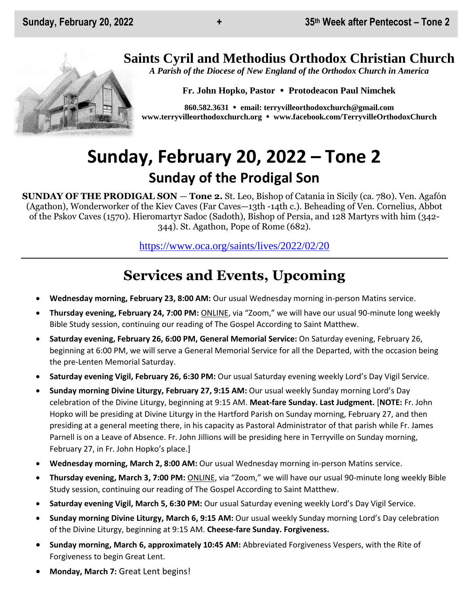## **Saints Cyril and Methodius Orthodox Christian Church**

*A Parish of the Diocese of New England of the Orthodox Church in America*

**Fr. John Hopko, Pastor Protodeacon Paul Nimchek**

**860.582.3631 email: [terryvilleorthodoxchurch@gmail.com](mailto:saintcyril@snet.net) [www.terryvilleorthodoxchurch.org](http://www.terryvilleorthodoxchurch.org/) [www.facebook.com/TerryvilleOrthodoxChurch](http://www.facebook.com/TerryvilleOrthodoxChurch)**

# **Sunday, February 20, 2022 – Tone 2 Sunday of the Prodigal Son**

**SUNDAY OF THE PRODIGAL SON** — **Tone 2.** St. Leo, Bishop of Catania in Sicily (ca. 780). Ven. Agafón (Agathon), Wonderworker of the Kiev Caves (Far Caves—13th -14th c.). Beheading of Ven. Cornelius, Abbot of the Pskov Caves (1570). Hieromartyr Sadoc (Sadoth), Bishop of Persia, and 128 Martyrs with him (342- 344). St. Agathon, Pope of Rome (682).

<https://www.oca.org/saints/lives/2022/02/20>

## **Services and Events, Upcoming**

- **Wednesday morning, February 23, 8:00 AM:** Our usual Wednesday morning in-person Matins service.
- **Thursday evening, February 24, 7:00 PM:** ONLINE, via "Zoom," we will have our usual 90-minute long weekly Bible Study session, continuing our reading of The Gospel According to Saint Matthew.
- **Saturday evening, February 26, 6:00 PM, General Memorial Service:** On Saturday evening, February 26, beginning at 6:00 PM, we will serve a General Memorial Service for all the Departed, with the occasion being the pre-Lenten Memorial Saturday.
- **Saturday evening Vigil, February 26, 6:30 PM:** Our usual Saturday evening weekly Lord's Day Vigil Service.
- **Sunday morning Divine Liturgy, February 27, 9:15 AM:** Our usual weekly Sunday morning Lord's Day celebration of the Divine Liturgy, beginning at 9:15 AM. **Meat-fare Sunday. Last Judgment.** [**NOTE:** Fr. John Hopko will be presiding at Divine Liturgy in the Hartford Parish on Sunday morning, February 27, and then presiding at a general meeting there, in his capacity as Pastoral Administrator of that parish while Fr. James Parnell is on a Leave of Absence. Fr. John Jillions will be presiding here in Terryville on Sunday morning, February 27, in Fr. John Hopko's place.]
- **Wednesday morning, March 2, 8:00 AM:** Our usual Wednesday morning in-person Matins service.
- **Thursday evening, March 3, 7:00 PM:** ONLINE, via "Zoom," we will have our usual 90-minute long weekly Bible Study session, continuing our reading of The Gospel According to Saint Matthew.
- **Saturday evening Vigil, March 5, 6:30 PM:** Our usual Saturday evening weekly Lord's Day Vigil Service.
- **Sunday morning Divine Liturgy, March 6, 9:15 AM:** Our usual weekly Sunday morning Lord's Day celebration of the Divine Liturgy, beginning at 9:15 AM. **Cheese-fare Sunday. Forgiveness.**
- **Sunday morning, March 6, approximately 10:45 AM:** Abbreviated Forgiveness Vespers, with the Rite of Forgiveness to begin Great Lent.
- **Monday, March 7:** Great Lent begins!

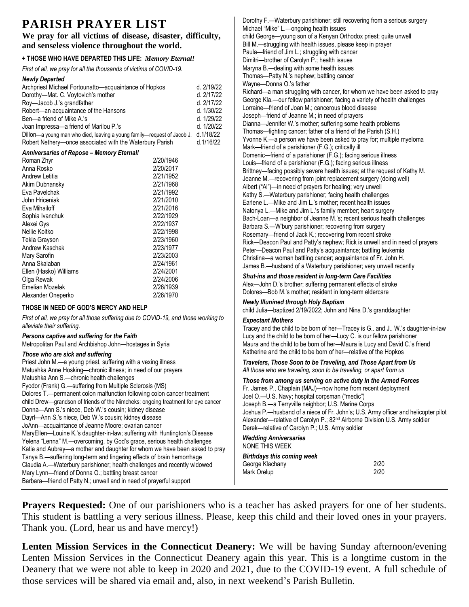## **PARISH PRAYER LIST**

**We pray for all victims of disease, disaster, difficulty, and senseless violence throughout the world.**

#### **+ THOSE WHO HAVE DEPARTED THIS LIFE:** *Memory Eternal!*

*First of all, we pray for all the thousands of victims of COVID-19.* 

| Newly Departed |
|----------------|
|----------------|

| ,,,,,, <i>,</i> ,,,,,,,,,,                                                        |           |            |
|-----------------------------------------------------------------------------------|-----------|------------|
| Archpriest Michael Fortounatto—acquaintance of Hopkos                             |           | d. 2/19/22 |
| Dorothy-Mat. C. Voytovich's mother                                                |           | d. 2/17/22 |
| Roy-Jacob J.'s grandfather                                                        |           | d. 2/17/22 |
| Robert-an acquaintance of the Hansons                                             |           | d. 1/30/22 |
| Ben-a friend of Mike A.'s                                                         |           | d. 1/29/22 |
| Joan Impressa—a friend of Marilou P.'s                                            |           | d. 1/20/22 |
| Dillon-a young man who died, leaving a young family-request of Jacob J. d.1/18/22 |           |            |
| Robert Nethery—once associated with the Waterbury Parish                          |           | d.1/16/22  |
| <b>Anniversaries of Repose - Memory Eternal!</b>                                  |           |            |
| Roman Zhyr                                                                        | 2/20/1946 |            |
| Anna Rosko                                                                        | 2/20/2017 |            |
| Andrew Letitia                                                                    | 2/21/1952 |            |
| Akim Dubnansky                                                                    | 2/21/1968 |            |
| Eva Pavelchak                                                                     | 2/21/1992 |            |
| John Hriceniak                                                                    | 2/21/2010 |            |
| Eva Mihailoff                                                                     | 2/21/2016 |            |
| Sophia Ivanchuk                                                                   | 2/22/1929 |            |
| Alexei Gys                                                                        | 2/22/1937 |            |
| Nellie Koltko                                                                     | 2/22/1998 |            |
| Tekla Grayson                                                                     | 2/23/1960 |            |
| Andrew Kaschak                                                                    | 2/23/1977 |            |
| Mary Sarofin                                                                      | 2/23/2003 |            |
| Anna Skalaban                                                                     | 2/24/1961 |            |
| Ellen (Hasko) Williams                                                            | 2/24/2001 |            |
| Olga Rewak                                                                        | 2/24/2006 |            |
| Emelian Mozelak                                                                   | 2/26/1939 |            |
| Alexander Oneperko                                                                | 2/26/1970 |            |

#### **THOSE IN NEED OF GOD'S MERCY AND HELP**

*First of all, we pray for all those suffering due to COVID-19, and those working to alleviate their suffering.*

#### *Persons captive and suffering for the Faith*

Metropolitan Paul and Archbishop John—hostages in Syria

#### *Those who are sick and suffering*

Priest John M.—a young priest, suffering with a vexing illness Matushka Anne Hosking—chronic illness; in need of our prayers Matushka Ann S.—chronic health challenges Fyodor (Frank) G.—suffering from Multiple Sclerosis (MS) Dolores T.—permanent colon malfunction following colon cancer treatment child Drew—grandson of friends of the Nimcheks; ongoing treatment for eye cancer Donna—Ann S.'s niece, Deb W.'s cousin; kidney disease Dayrl—Ann S.'s niece, Deb W.'s cousin; kidney disease JoAnn—acquaintance of Jeanne Moore; ovarian cancer MaryEllen—Louine K.'s daughter-in-law; suffering with Huntington's Disease Yelena "Lenna" M.—overcoming, by God's grace, serious health challenges Katie and Aubrey—a mother and daughter for whom we have been asked to pray Tanya B.—suffering long-term and lingering effects of brain hemorrhage Claudia A.—Waterbury parishioner; health challenges and recently widowed Mary Lynn—friend of Donna O.; battling breast cancer Barbara—friend of Patty N.; unwell and in need of prayerful support

Dorothy F.—Waterbury parishioner; still recovering from a serious surgery Michael "Mike" L.—ongoing health issues child George—young son of a Kenyan Orthodox priest; quite unwell Bill M.—struggling with health issues, please keep in prayer Paula—friend of Jim L.; struggling with cancer Dimitri—brother of Carolyn P.; health issues Maryna B.—dealing with some health issues Thomas—Patty N.'s nephew; battling cancer Wayne—Donna O.'s father Richard—a man struggling with cancer, for whom we have been asked to pray George Kla.—our fellow parishioner; facing a variety of health challenges Lorraine—friend of Joan M.; cancerous blood disease Joseph—friend of Jeanne M.; in need of prayers Dianna—Jennifer W.'s mother; suffering some health problems Thomas—fighting cancer; father of a friend of the Parish (S.H.) Yvonne K.—a person we have been asked to pray for; multiple myeloma Mark—friend of a parishioner (F.G.); critically ill Domenic—friend of a parishioner (F.G.); facing serious illness Louis—friend of a parishioner (F.G.); facing serious illness Brittney—facing possibly severe health issues; at the request of Kathy M. Jeanne M.—recovering from joint replacement surgery (doing well) Albert ("Al")—in need of prayers for healing; very unwell Kathy S.—Waterbury parishioner; facing health challenges Earlene L.—Mike and Jim L.'s mother; recent health issues Natonya L.—Mike and Jim L.'s family member; heart surgery Bach-Loan—a neighbor of Jeanne M.'s; recent serious health challenges Barbara S.—W'bury parishioner; recovering from surgery Rosemary—friend of Jack K.; recovering from recent stroke Rick—Deacon Paul and Patty's nephew; Rick is unwell and in need of prayers Peter—Deacon Paul and Patty's acquaintance; battling leukemia Christina—a woman battling cancer; acquaintance of Fr. John H. James B.—husband of a Waterbury parishioner; very unwell recently

#### *Shut-ins and those resident in long-term Care Facilities* Alex—John D.'s brother; suffering permanent effects of stroke

Dolores—Bob M.'s mother; resident in long-term eldercare

#### *Newly Illunined through Holy Baptism* child Julia—baptized 2/19/2022; John and Nina D.'s granddaughter

#### *Expectant Mothers*

Tracey and the child to be born of her—Tracey is G.. and J.. W.'s daughter-in-law Lucy and the child to be born of her—Lucy C. is our fellow parishioner Maura and the child to be born of her—Maura is Lucy and David C.'s friend Katherine and the child to be born of her—relative of the Hopkos

*Travelers, Those Soon to be Traveling, and Those Apart from Us All those who are traveling, soon to be traveling, or apart from us*

#### *Those from among us serving on active duty in the Armed Forces*

Fr. James P., Chaplain (MAJ)—now home from recent deployment Joel O.—U.S. Navy; hospital corpsman ("medic") Joseph B.—a Terryville neighbor; U.S. Marine Corps Joshua P.—husband of a niece of Fr. John's; U.S. Army officer and helicopter pilot Alexander—relative of Carolyn P.; 82nd Airborne Division U.S. Army soldier Derek—relative of Carolyn P.; U.S. Army soldier *Wedding Anniversaries*

#### NONE THIS WEEK

*Birthdays this coming week* George Klachany 2/20 Mark Orelup 2/20

**Prayers Requested:** One of our parishioners who is a teacher has asked prayers for one of her students. This student is battling a very serious illness. Please, keep this child and their loved ones in your prayers. Thank you. (Lord, hear us and have mercy!)

**Lenten Mission Services in the Connecticut Deanery:** We will be having Sunday afternoon/evening Lenten Mission Services in the Connecticut Deanery again this year. This is a longtime custom in the Deanery that we were not able to keep in 2020 and 2021, due to the COVID-19 event. A full schedule of those services will be shared via email and, also, in next weekend's Parish Bulletin.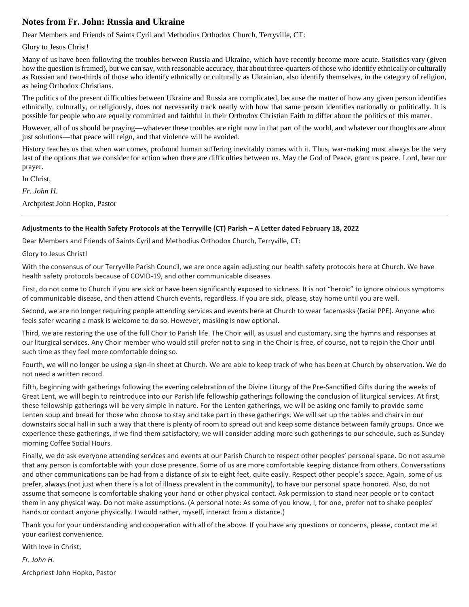#### **Notes from Fr. John: Russia and Ukraine**

Dear Members and Friends of Saints Cyril and Methodius Orthodox Church, Terryville, CT:

Glory to Jesus Christ!

Many of us have been following the troubles between Russia and Ukraine, which have recently become more acute. Statistics vary (given how the question is framed), but we can say, with reasonable accuracy, that about three-quarters of those who identify ethnically or culturally as Russian and two-thirds of those who identify ethnically or culturally as Ukrainian, also identify themselves, in the category of religion, as being Orthodox Christians.

The politics of the present difficulties between Ukraine and Russia are complicated, because the matter of how any given person identifies ethnically, culturally, or religiously, does not necessarily track neatly with how that same person identifies nationally or politically. It is possible for people who are equally committed and faithful in their Orthodox Christian Faith to differ about the politics of this matter.

However, all of us should be praying—whatever these troubles are right now in that part of the world, and whatever our thoughts are about just solutions—that peace will reign, and that violence will be avoided.

History teaches us that when war comes, profound human suffering inevitably comes with it. Thus, war-making must always be the very last of the options that we consider for action when there are difficulties between us. May the God of Peace, grant us peace. Lord, hear our prayer.

In Christ,

*Fr. John H.*

Archpriest John Hopko, Pastor

#### **Adjustments to the Health Safety Protocols at the Terryville (CT) Parish – A Letter dated February 18, 2022**

Dear Members and Friends of Saints Cyril and Methodius Orthodox Church, Terryville, CT:

Glory to Jesus Christ!

With the consensus of our Terryville Parish Council, we are once again adjusting our health safety protocols here at Church. We have health safety protocols because of COVID-19, and other communicable diseases.

First, do not come to Church if you are sick or have been significantly exposed to sickness. It is not "heroic" to ignore obvious symptoms of communicable disease, and then attend Church events, regardless. If you are sick, please, stay home until you are well.

Second, we are no longer requiring people attending services and events here at Church to wear facemasks (facial PPE). Anyone who feels safer wearing a mask is welcome to do so. However, masking is now optional.

Third, we are restoring the use of the full Choir to Parish life. The Choir will, as usual and customary, sing the hymns and responses at our liturgical services. Any Choir member who would still prefer not to sing in the Choir is free, of course, not to rejoin the Choir until such time as they feel more comfortable doing so.

Fourth, we will no longer be using a sign-in sheet at Church. We are able to keep track of who has been at Church by observation. We do not need a written record.

Fifth, beginning with gatherings following the evening celebration of the Divine Liturgy of the Pre-Sanctified Gifts during the weeks of Great Lent, we will begin to reintroduce into our Parish life fellowship gatherings following the conclusion of liturgical services. At first, these fellowship gatherings will be very simple in nature. For the Lenten gatherings, we will be asking one family to provide some Lenten soup and bread for those who choose to stay and take part in these gatherings. We will set up the tables and chairs in our downstairs social hall in such a way that there is plenty of room to spread out and keep some distance between family groups. Once we experience these gatherings, if we find them satisfactory, we will consider adding more such gatherings to our schedule, such as Sunday morning Coffee Social Hours.

Finally, we do ask everyone attending services and events at our Parish Church to respect other peoples' personal space. Do not assume that any person is comfortable with your close presence. Some of us are more comfortable keeping distance from others. Conversations and other communications can be had from a distance of six to eight feet, quite easily. Respect other people's space. Again, some of us prefer, always (not just when there is a lot of illness prevalent in the community), to have our personal space honored. Also, do not assume that someone is comfortable shaking your hand or other physical contact. Ask permission to stand near people or to contact them in any physical way. Do not make assumptions. (A personal note: As some of you know, I, for one, prefer not to shake peoples' hands or contact anyone physically. I would rather, myself, interact from a distance.)

Thank you for your understanding and cooperation with all of the above. If you have any questions or concerns, please, contact me at your earliest convenience.

With love in Christ,

*Fr. John H.*

Archpriest John Hopko, Pastor